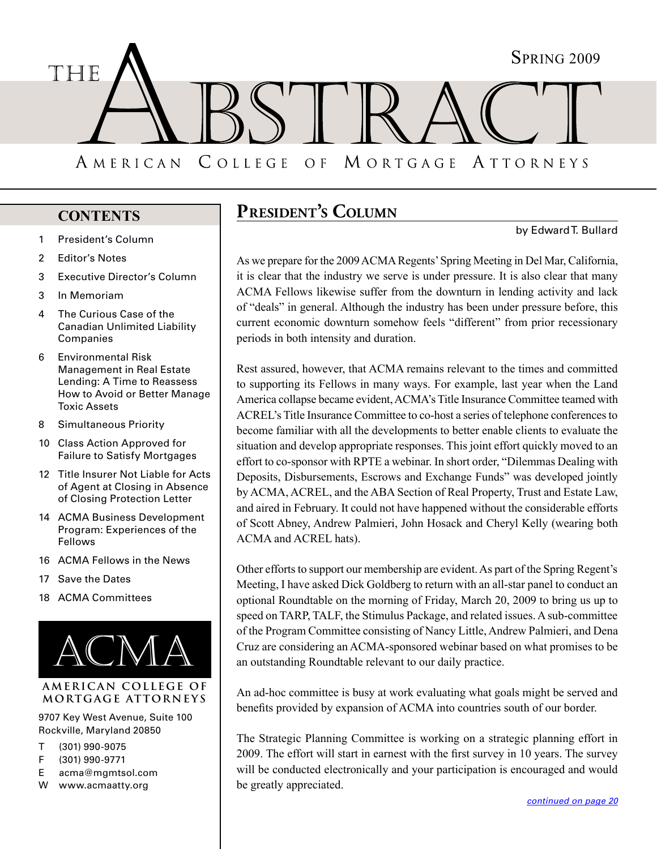<span id="page-0-0"></span>

# **CONTENTS**

- 1 President's Column
- 2 [Editor's Notes](#page-1-0)
- 3 [Executive Director's Column](#page-2-0)
- 3 [In Memoriam](#page-2-0)
- 4 [The Curious Case of the](#page-3-0)  [Canadian Unlimited Liability](#page-3-0)  [Companies](#page-3-0)
- 6 [Environmental Risk](#page-5-0)  [Management in Real Estate](#page-5-0)  [Lending: A Time to Reassess](#page-5-0)  [How to Avoid or Better Manage](#page-5-0)  [Toxic Assets](#page-5-0)
- 8 [Simultaneous Priority](#page-7-0)
- 10 [Class Action Approved for](#page-9-0)  [Failure to Satisfy Mortgages](#page-9-0)
- 12 [Title Insurer Not Liable for Acts](#page-11-0)  [of Agent at Closing in Absence](#page-11-0)  [of Closing Protection Letter](#page-11-0)
- 14 ACMA Business Development [Program: Experiences of the](#page-13-0)  [Fellows](#page-13-0)
- 16 [ACMA Fellows in the News](#page-15-0)
- 17 [Save the Da](#page-16-0)tes
- 18 [ACMA Committees](#page-17-0)



### **americ an college of mortgage attorneys**

9707 Key West Avenue, Suite 100 Rockville, Maryland 20850

- T (301) 990-9075
- F (301) 990-9771
- E acma@mgmtsol.com
- W www.acmaatty.org

# **President's Column**

by Edward T. Bullard

As we prepare for the 2009 ACMA Regents' Spring Meeting in Del Mar, California, it is clear that the industry we serve is under pressure. It is also clear that many ACMA Fellows likewise suffer from the downturn in lending activity and lack of "deals" in general. Although the industry has been under pressure before, this current economic downturn somehow feels "different" from prior recessionary periods in both intensity and duration.

Rest assured, however, that ACMA remains relevant to the times and committed to supporting its Fellows in many ways. For example, last year when the Land America collapse became evident, ACMA's Title Insurance Committee teamed with ACREL's Title Insurance Committee to co-host a series of telephone conferences to become familiar with all the developments to better enable clients to evaluate the situation and develop appropriate responses. This joint effort quickly moved to an effort to co-sponsor with RPTE a webinar. In short order, "Dilemmas Dealing with Deposits, Disbursements, Escrows and Exchange Funds" was developed jointly by ACMA, ACREL, and the ABA Section of Real Property, Trust and Estate Law, and aired in February. It could not have happened without the considerable efforts of Scott Abney, Andrew Palmieri, John Hosack and Cheryl Kelly (wearing both ACMA and ACREL hats).

Other efforts to support our membership are evident. As part of the Spring Regent's Meeting, I have asked Dick Goldberg to return with an all-star panel to conduct an optional Roundtable on the morning of Friday, March 20, 2009 to bring us up to speed on TARP, TALF, the Stimulus Package, and related issues. A sub-committee of the Program Committee consisting of Nancy Little, Andrew Palmieri, and Dena Cruz are considering an ACMA-sponsored webinar based on what promises to be an outstanding Roundtable relevant to our daily practice.

An ad-hoc committee is busy at work evaluating what goals might be served and benefits provided by expansion of ACMA into countries south of our border.

The Strategic Planning Committee is working on a strategic planning effort in 2009. The effort will start in earnest with the first survey in 10 years. The survey will be conducted electronically and your participation is encouraged and would be greatly appreciated.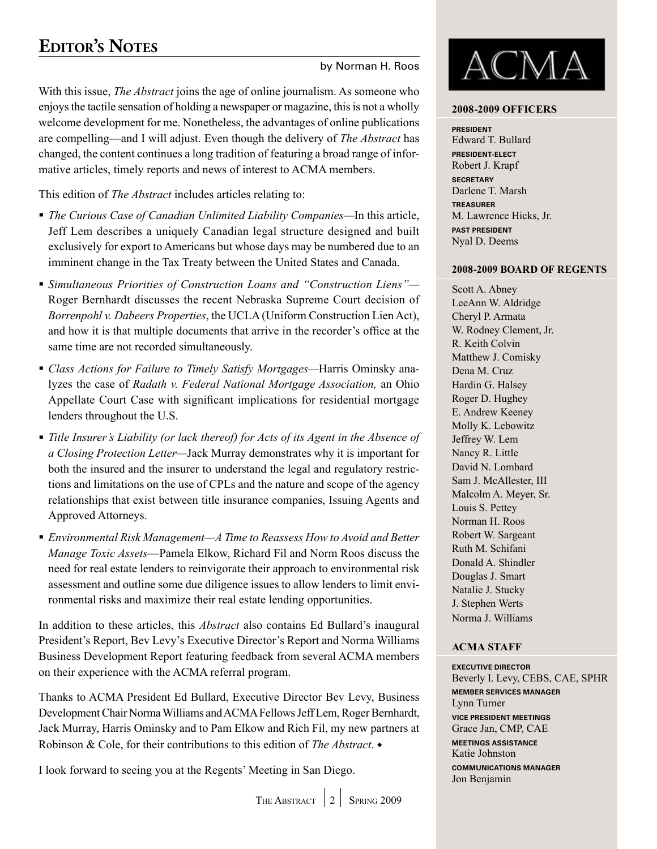# <span id="page-1-0"></span>**Editor's Notes**

by Norman H. Roos

With this issue, *The Abstract* joins the age of online journalism. As someone who enjoys the tactile sensation of holding a newspaper or magazine, this is not a wholly welcome development for me. Nonetheless, the advantages of online publications are compelling—and I will adjust. Even though the delivery of *The Abstract* has changed, the content continues a long tradition of featuring a broad range of informative articles, timely reports and news of interest to ACMA members.

This edition of *The Abstract* includes articles relating to:

- *The Curious Case of Canadian Unlimited Liability Companies—*In this article, Jeff Lem describes a uniquely Canadian legal structure designed and built exclusively for export to Americans but whose days may be numbered due to an imminent change in the Tax Treaty between the United States and Canada.
- *Simultaneous Priorities of Construction Loans and "Construction Liens"—* Roger Bernhardt discusses the recent Nebraska Supreme Court decision of *Borrenpohl v. Dabeers Properties*, the UCLA (Uniform Construction Lien Act), and how it is that multiple documents that arrive in the recorder's office at the same time are not recorded simultaneously.
- *Class Actions for Failure to Timely Satisfy Mortgages—*Harris Ominsky analyzes the case of *Radath v. Federal National Mortgage Association,* an Ohio Appellate Court Case with significant implications for residential mortgage lenders throughout the U.S.
- *Title Insurer's Liability (or lack thereof) for Acts of its Agent in the Absence of a Closing Protection Letter—*Jack Murray demonstrates why it is important for both the insured and the insurer to understand the legal and regulatory restrictions and limitations on the use of CPLs and the nature and scope of the agency relationships that exist between title insurance companies, Issuing Agents and Approved Attorneys.
- *Environmental Risk Management—A Time to Reassess How to Avoid and Better Manage Toxic Assets*—Pamela Elkow, Richard Fil and Norm Roos discuss the need for real estate lenders to reinvigorate their approach to environmental risk assessment and outline some due diligence issues to allow lenders to limit environmental risks and maximize their real estate lending opportunities.

In addition to these articles, this *Abstract* also contains Ed Bullard's inaugural President's Report, Bev Levy's Executive Director's Report and Norma Williams Business Development Report featuring feedback from several ACMA members on their experience with the ACMA referral program.

Thanks to ACMA President Ed Bullard, Executive Director Bev Levy, Business Development Chair Norma Williams and ACMA Fellows Jeff Lem, Roger Bernhardt, Jack Murray, Harris Ominsky and to Pam Elkow and Rich Fil, my new partners at Robinson & Cole, for their contributions to this edition of *The Abstract*.

I look forward to seeing you at the Regents' Meeting in San Diego.



### **2008-2009 Officers**

#### **President**

Edward T. Bullard **President-Elect** Robert J. Krapf **Secretary** Darlene T. Marsh **Treasurer** M. Lawrence Hicks, Jr. **Past President** Nyal D. Deems

### **2008-2009 Board of Regents**

Scott A. Abney LeeAnn W. Aldridge Cheryl P. Armata W. Rodney Clement, Jr. R. Keith Colvin Matthew J. Comisky Dena M. Cruz Hardin G. Halsey Roger D. Hughey E. Andrew Keeney Molly K. Lebowitz Jeffrey W. Lem Nancy R. Little David N. Lombard Sam J. McAllester, III Malcolm A. Meyer, Sr. Louis S. Pettey Norman H. Roos Robert W. Sargeant Ruth M. Schifani Donald A. Shindler Douglas J. Smart Natalie J. Stucky J. Stephen Werts Norma J. Williams

### **ACMA Staff**

**EXECUTIVE DIRECTOR** Beverly I. Levy, CEBS, CAE, SPHR **Member services manager** Lynn Turner **Vice president meetings** Grace Jan, CMP, CAE **Meetings Assistance** Katie Johnston **Communications manager** Jon Benjamin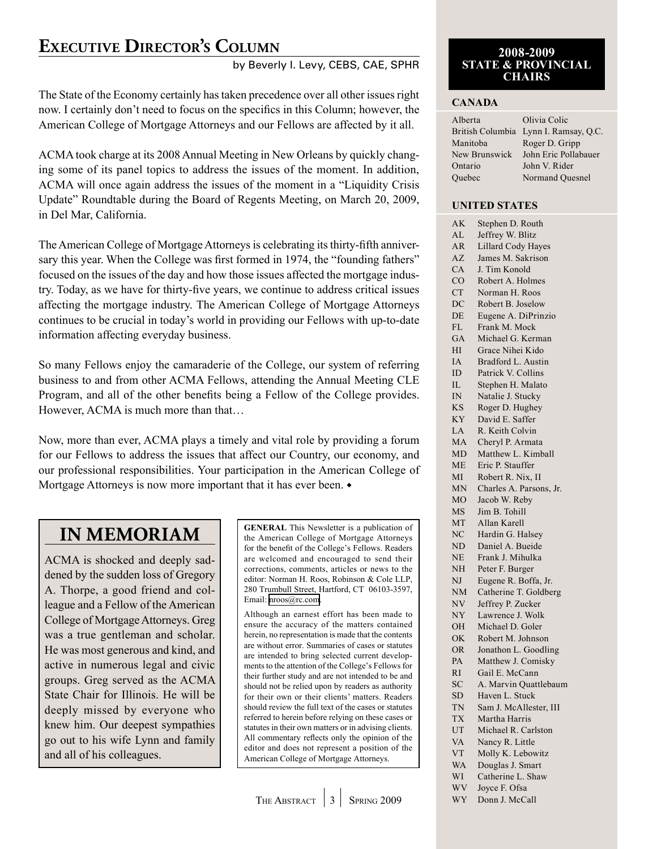# <span id="page-2-0"></span>**Executive Director's Column**

### by Beverly I. Levy, CEBS, CAE, SPHR

The State of the Economy certainly has taken precedence over all other issues right now. I certainly don't need to focus on the specifics in this Column; however, the American College of Mortgage Attorneys and our Fellows are affected by it all.

ACMA took charge at its 2008 Annual Meeting in New Orleans by quickly changing some of its panel topics to address the issues of the moment. In addition, ACMA will once again address the issues of the moment in a "Liquidity Crisis Update" Roundtable during the Board of Regents Meeting, on March 20, 2009, in Del Mar, California.

The American College of Mortgage Attorneys is celebrating its thirty-fifth anniversary this year. When the College was first formed in 1974, the "founding fathers" focused on the issues of the day and how those issues affected the mortgage industry. Today, as we have for thirty-five years, we continue to address critical issues affecting the mortgage industry. The American College of Mortgage Attorneys continues to be crucial in today's world in providing our Fellows with up-to-date information affecting everyday business.

So many Fellows enjoy the camaraderie of the College, our system of referring business to and from other ACMA Fellows, attending the Annual Meeting CLE Program, and all of the other benefits being a Fellow of the College provides. However, ACMA is much more than that…

Now, more than ever, ACMA plays a timely and vital role by providing a forum for our Fellows to address the issues that affect our Country, our economy, and our professional responsibilities. Your participation in the American College of Mortgage Attorneys is now more important that it has ever been.  $\bullet$ 

# **IN MEMORIAM**

ACMA is shocked and deeply saddened by the sudden loss of Gregory A. Thorpe, a good friend and colleague and a Fellow of the American College of Mortgage Attorneys. Greg was a true gentleman and scholar. He was most generous and kind, and active in numerous legal and civic groups. Greg served as the ACMA State Chair for Illinois. He will be deeply missed by everyone who knew him. Our deepest sympathies go out to his wife Lynn and family and all of his colleagues.

**GENERAL** This Newsletter is a publication of the American College of Mortgage Attorneys for the benefit of the College's Fellows. Readers are welcomed and encouraged to send their corrections, comments, articles or news to the editor: Norman H. Roos, Robinson & Cole LLP, 280 Trumbull Street, Hartford, CT 06103-3597, Email: [nroos@rc.com.](mailto:nroos@rc.com)

Although an earnest effort has been made to ensure the accuracy of the matters contained herein, no representation is made that the contents are without error. Summaries of cases or statutes are intended to bring selected current developments to the attention of the College's Fellows for their further study and are not intended to be and should not be relied upon by readers as authority for their own or their clients' matters. Readers should review the full text of the cases or statutes referred to herein before relying on these cases or statutes in their own matters or in advising clients. All commentary reflects only the opinion of the editor and does not represent a position of the American College of Mortgage Attorneys.

### **2008-2009 STATE & PROVINCIAL CHAIRS**

### **Canada**

| Alberta       | Olivia Colic                          |
|---------------|---------------------------------------|
|               | British Columbia Lynn I. Ramsay, Q.C. |
| Manitoba      | Roger D. Gripp                        |
| New Brunswick | John Eric Pollabauer                  |
| Ontario       | John V. Rider                         |
| Ouebec        | Normand Ouesnel                       |
|               |                                       |

### **United States**

| АK         | Stephen D. Routh        |
|------------|-------------------------|
| AL         | Jeffrey W. Blitz        |
| AR         | Lillard Cody Hayes      |
| AZ         | James M. Sakrison       |
| CA         | J. Tim Konold           |
| CO         | Robert A. Holmes        |
| CT         | Norman H. Roos          |
| DC         | Robert B. Joselow       |
| DE         | Eugene A. DiPrinzio     |
| FL         | Frank M. Mock           |
| GA         | Michael G. Kerman       |
| НI         | Grace Nihei Kido        |
| IA         | Bradford L. Austin      |
| ID         | Patrick V. Collins      |
| IL         | Stephen H. Malato       |
| IN         | Natalie J. Stucky       |
| KS.        | Roger D. Hughey         |
| KY         | David E. Saffer         |
| ${\rm LA}$ | R. Keith Colvin         |
| MA         | Cheryl P. Armata        |
| MD         | Matthew L. Kimball      |
| МE         | Eric P. Stauffer        |
| МI         | Robert R. Nix, II       |
| MN         | Charles A. Parsons, Jr. |
| MO         | Jacob W. Reby           |
| MS         | Jim B. Tohill           |
| MT         | Allan Karell            |
| NC         | Hardin G. Halsey        |
| ND         | Daniel A. Bueide        |
| NE         | Frank J. Mihulka        |
| NΗ         | Peter F. Burger         |
| NJ         | Eugene R. Boffa, Jr.    |
| NM         | Catherine T. Goldberg   |
| NV         | Jeffrey P. Zucker       |
| NY         | Lawrence J. Wolk        |
| OН         | Michael D. Goler        |
| OK         | Robert M. Johnson       |
| <b>OR</b>  | Jonathon L. Goodling    |
| PA         | Matthew J. Comisky      |
| RI         | Gail E. McCann          |
| SC         | A. Marvin Quattlebaum   |
| SD         | Haven L. Stuck          |
| TN         | Sam J. McAllester, III  |
| <b>TX</b>  | Martha Harris           |
| UT         | Michael R. Carlston     |
| VA         | Nancy R. Little         |
| <b>VT</b>  | Molly K. Lebowitz       |
| <b>WA</b>  | Douglas J. Smart        |
| WI         | Catherine L. Shaw       |
| WV         | Joyce F. Ofsa           |
| WY         | Donn J. McCall          |
|            |                         |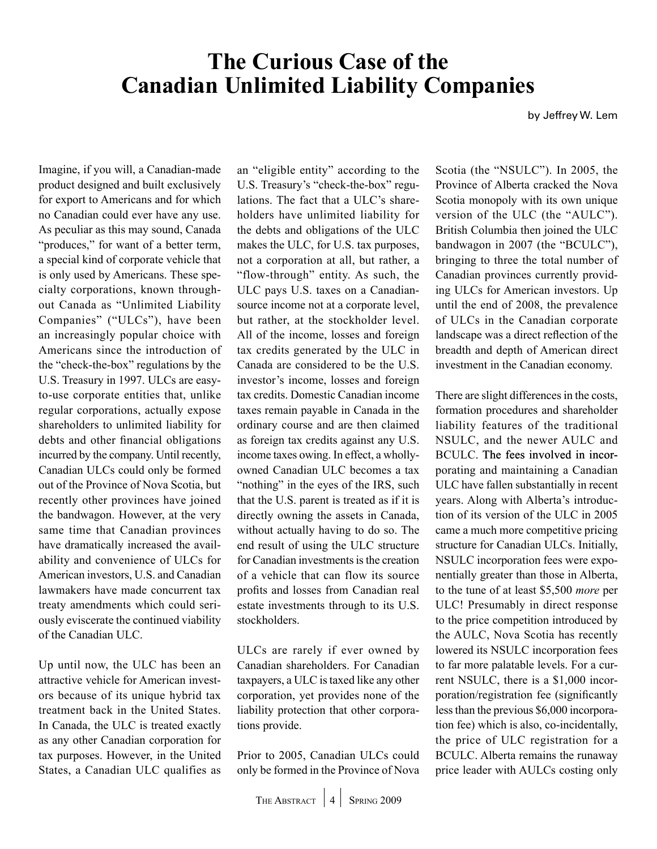# <span id="page-3-0"></span>**The Curious Case of the Canadian Unlimited Liability Companies**

by Jeffrey W. Lem

Imagine, if you will, a Canadian-made product designed and built exclusively for export to Americans and for which no Canadian could ever have any use. As peculiar as this may sound, Canada "produces," for want of a better term, a special kind of corporate vehicle that is only used by Americans. These specialty corporations, known throughout Canada as "Unlimited Liability Companies" ("ULCs"), have been an increasingly popular choice with Americans since the introduction of the "check-the-box" regulations by the U.S. Treasury in 1997. ULCs are easyto-use corporate entities that, unlike regular corporations, actually expose shareholders to unlimited liability for debts and other financial obligations incurred by the company. Until recently, Canadian ULCs could only be formed out of the Province of Nova Scotia, but recently other provinces have joined the bandwagon. However, at the very same time that Canadian provinces have dramatically increased the availability and convenience of ULCs for American investors, U.S. and Canadian lawmakers have made concurrent tax treaty amendments which could seriously eviscerate the continued viability of the Canadian ULC.

Up until now, the ULC has been an attractive vehicle for American investors because of its unique hybrid tax treatment back in the United States. In Canada, the ULC is treated exactly as any other Canadian corporation for tax purposes. However, in the United States, a Canadian ULC qualifies as an "eligible entity" according to the U.S. Treasury's "check-the-box" regulations. The fact that a ULC's shareholders have unlimited liability for the debts and obligations of the ULC makes the ULC, for U.S. tax purposes, not a corporation at all, but rather, a "flow-through" entity. As such, the ULC pays U.S. taxes on a Canadiansource income not at a corporate level, but rather, at the stockholder level. All of the income, losses and foreign tax credits generated by the ULC in Canada are considered to be the U.S. investor's income, losses and foreign tax credits. Domestic Canadian income taxes remain payable in Canada in the ordinary course and are then claimed as foreign tax credits against any U.S. income taxes owing. In effect, a whollyowned Canadian ULC becomes a tax "nothing" in the eyes of the IRS, such that the U.S. parent is treated as if it is directly owning the assets in Canada, without actually having to do so. The end result of using the ULC structure for Canadian investments is the creation of a vehicle that can flow its source profits and losses from Canadian real estate investments through to its U.S. stockholders.

ULCs are rarely if ever owned by Canadian shareholders. For Canadian taxpayers, a ULC is taxed like any other corporation, yet provides none of the liability protection that other corporations provide.

Prior to 2005, Canadian ULCs could only be formed in the Province of Nova

Scotia (the "NSULC"). In 2005, the Province of Alberta cracked the Nova Scotia monopoly with its own unique version of the ULC (the "AULC"). British Columbia then joined the ULC bandwagon in 2007 (the "BCULC"), bringing to three the total number of Canadian provinces currently providing ULCs for American investors. Up until the end of 2008, the prevalence of ULCs in the Canadian corporate landscape was a direct reflection of the breadth and depth of American direct investment in the Canadian economy.

There are slight differences in the costs, formation procedures and shareholder liability features of the traditional NSULC, and the newer AULC and BCULC. The fees involved in incorporating and maintaining a Canadian ULC have fallen substantially in recent years. Along with Alberta's introduction of its version of the ULC in 2005 came a much more competitive pricing structure for Canadian ULCs. Initially, NSULC incorporation fees were exponentially greater than those in Alberta, to the tune of at least \$5,500 *more* per ULC! Presumably in direct response to the price competition introduced by the AULC, Nova Scotia has recently lowered its NSULC incorporation fees to far more palatable levels. For a current NSULC, there is a \$1,000 incorporation/registration fee (significantly less than the previous \$6,000 incorporation fee) which is also, co-incidentally, the price of ULC registration for a BCULC. Alberta remains the runaway price leader with AULCs costing only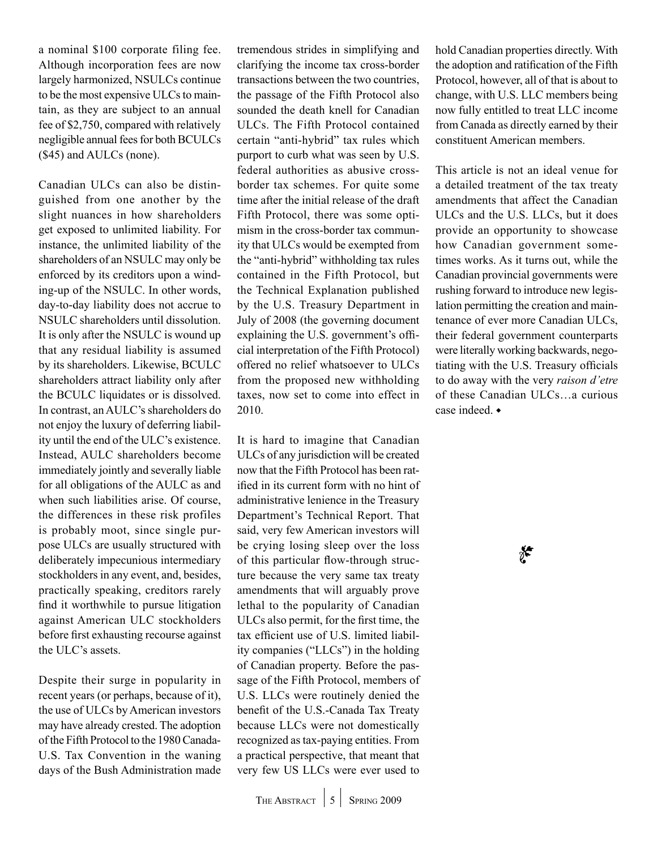a nominal \$100 corporate filing fee. Although incorporation fees are now largely harmonized, NSULCs continue to be the most expensive ULCs to maintain, as they are subject to an annual fee of \$2,750, compared with relatively negligible annual fees for both BCULCs (\$45) and AULCs (none).

Canadian ULCs can also be distinguished from one another by the slight nuances in how shareholders get exposed to unlimited liability. For instance, the unlimited liability of the shareholders of an NSULC may only be enforced by its creditors upon a winding-up of the NSULC. In other words, day-to-day liability does not accrue to NSULC shareholders until dissolution. It is only after the NSULC is wound up that any residual liability is assumed by its shareholders. Likewise, BCULC shareholders attract liability only after the BCULC liquidates or is dissolved. In contrast, an AULC's shareholders do not enjoy the luxury of deferring liability until the end of the ULC's existence. Instead, AULC shareholders become immediately jointly and severally liable for all obligations of the AULC as and when such liabilities arise. Of course, the differences in these risk profiles is probably moot, since single purpose ULCs are usually structured with deliberately impecunious intermediary stockholders in any event, and, besides, practically speaking, creditors rarely find it worthwhile to pursue litigation against American ULC stockholders before first exhausting recourse against the ULC's assets.

Despite their surge in popularity in recent years (or perhaps, because of it), the use of ULCs by American investors may have already crested. The adoption of the Fifth Protocol to the 1980 Canada-U.S. Tax Convention in the waning days of the Bush Administration made tremendous strides in simplifying and clarifying the income tax cross-border transactions between the two countries, the passage of the Fifth Protocol also sounded the death knell for Canadian ULCs. The Fifth Protocol contained certain "anti-hybrid" tax rules which purport to curb what was seen by U.S. federal authorities as abusive crossborder tax schemes. For quite some time after the initial release of the draft Fifth Protocol, there was some optimism in the cross-border tax community that ULCs would be exempted from the "anti-hybrid" withholding tax rules contained in the Fifth Protocol, but the Technical Explanation published by the U.S. Treasury Department in July of 2008 (the governing document explaining the U.S. government's official interpretation of the Fifth Protocol) offered no relief whatsoever to ULCs from the proposed new withholding taxes, now set to come into effect in 2010.

It is hard to imagine that Canadian ULCs of any jurisdiction will be created now that the Fifth Protocol has been ratified in its current form with no hint of administrative lenience in the Treasury Department's Technical Report. That said, very few American investors will be crying losing sleep over the loss of this particular flow-through structure because the very same tax treaty amendments that will arguably prove lethal to the popularity of Canadian ULCs also permit, for the first time, the tax efficient use of U.S. limited liability companies ("LLCs") in the holding of Canadian property. Before the passage of the Fifth Protocol, members of U.S. LLCs were routinely denied the benefit of the U.S.-Canada Tax Treaty because LLCs were not domestically recognized as tax-paying entities. From a practical perspective, that meant that very few US LLCs were ever used to

hold Canadian properties directly. With the adoption and ratification of the Fifth Protocol, however, all of that is about to change, with U.S. LLC members being now fully entitled to treat LLC income from Canada as directly earned by their constituent American members.

This article is not an ideal venue for a detailed treatment of the tax treaty amendments that affect the Canadian ULCs and the U.S. LLCs, but it does provide an opportunity to showcase how Canadian government sometimes works. As it turns out, while the Canadian provincial governments were rushing forward to introduce new legislation permitting the creation and maintenance of ever more Canadian ULCs, their federal government counterparts were literally working backwards, negotiating with the U.S. Treasury officials to do away with the very *raison d'etre* of these Canadian ULCs…a curious case indeed.  $\bullet$ 

 $*$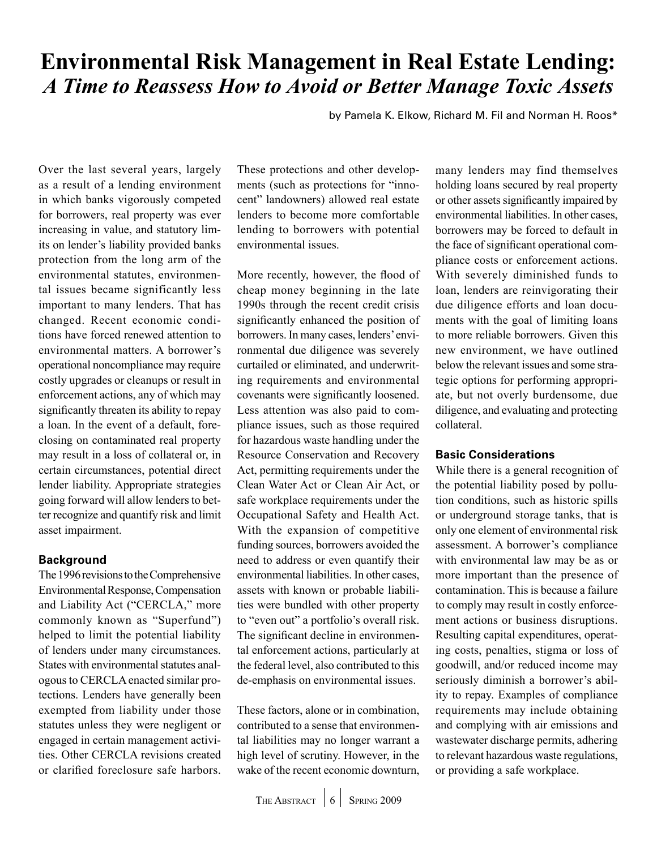# <span id="page-5-0"></span>**Environmental Risk Management in Real Estate Lending:**  *A Time to Reassess How to Avoid or Better Manage Toxic Assets*

by Pamela K. Elkow, Richard M. Fil and Norman H. Roos\*

Over the last several years, largely as a result of a lending environment in which banks vigorously competed for borrowers, real property was ever increasing in value, and statutory limits on lender's liability provided banks protection from the long arm of the environmental statutes, environmental issues became significantly less important to many lenders. That has changed. Recent economic conditions have forced renewed attention to environmental matters. A borrower's operational noncompliance may require costly upgrades or cleanups or result in enforcement actions, any of which may significantly threaten its ability to repay a loan. In the event of a default, foreclosing on contaminated real property may result in a loss of collateral or, in certain circumstances, potential direct lender liability. Appropriate strategies going forward will allow lenders to better recognize and quantify risk and limit asset impairment.

### **Background**

The 1996 revisions to the Comprehensive Environmental Response, Compensation and Liability Act ("CERCLA," more commonly known as "Superfund") helped to limit the potential liability of lenders under many circumstances. States with environmental statutes analogous to CERCLA enacted similar protections. Lenders have generally been exempted from liability under those statutes unless they were negligent or engaged in certain management activities. Other CERCLA revisions created or clarified foreclosure safe harbors.

These protections and other developments (such as protections for "innocent" landowners) allowed real estate lenders to become more comfortable lending to borrowers with potential environmental issues.

More recently, however, the flood of cheap money beginning in the late 1990s through the recent credit crisis significantly enhanced the position of borrowers. In many cases, lenders' environmental due diligence was severely curtailed or eliminated, and underwriting requirements and environmental covenants were significantly loosened. Less attention was also paid to compliance issues, such as those required for hazardous waste handling under the Resource Conservation and Recovery Act, permitting requirements under the Clean Water Act or Clean Air Act, or safe workplace requirements under the Occupational Safety and Health Act. With the expansion of competitive funding sources, borrowers avoided the need to address or even quantify their environmental liabilities. In other cases, assets with known or probable liabilities were bundled with other property to "even out" a portfolio's overall risk. The significant decline in environmental enforcement actions, particularly at the federal level, also contributed to this de-emphasis on environmental issues.

These factors, alone or in combination, contributed to a sense that environmental liabilities may no longer warrant a high level of scrutiny. However, in the wake of the recent economic downturn,

many lenders may find themselves holding loans secured by real property or other assets significantly impaired by environmental liabilities. In other cases, borrowers may be forced to default in the face of significant operational compliance costs or enforcement actions. With severely diminished funds to loan, lenders are reinvigorating their due diligence efforts and loan documents with the goal of limiting loans to more reliable borrowers. Given this new environment, we have outlined below the relevant issues and some strategic options for performing appropriate, but not overly burdensome, due diligence, and evaluating and protecting collateral.

### **Basic Considerations**

While there is a general recognition of the potential liability posed by pollution conditions, such as historic spills or underground storage tanks, that is only one element of environmental risk assessment. A borrower's compliance with environmental law may be as or more important than the presence of contamination. This is because a failure to comply may result in costly enforcement actions or business disruptions. Resulting capital expenditures, operating costs, penalties, stigma or loss of goodwill, and/or reduced income may seriously diminish a borrower's ability to repay. Examples of compliance requirements may include obtaining and complying with air emissions and wastewater discharge permits, adhering to relevant hazardous waste regulations, or providing a safe workplace.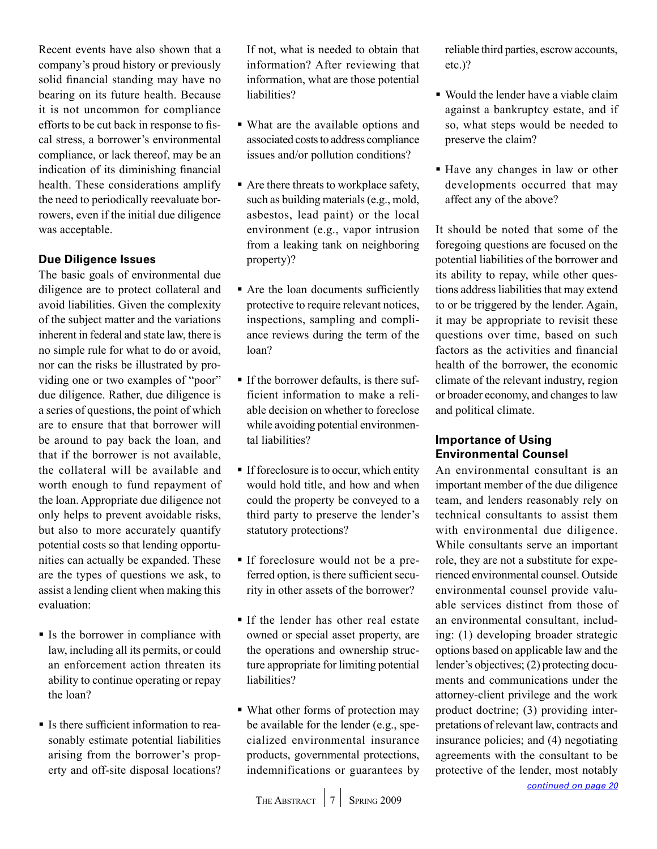<span id="page-6-0"></span>Recent events have also shown that a company's proud history or previously solid financial standing may have no bearing on its future health. Because it is not uncommon for compliance efforts to be cut back in response to fiscal stress, a borrower's environmental compliance, or lack thereof, may be an indication of its diminishing financial health. These considerations amplify the need to periodically reevaluate borrowers, even if the initial due diligence was acceptable.

### **Due Diligence Issues**

The basic goals of environmental due diligence are to protect collateral and avoid liabilities. Given the complexity of the subject matter and the variations inherent in federal and state law, there is no simple rule for what to do or avoid, nor can the risks be illustrated by providing one or two examples of "poor" due diligence. Rather, due diligence is a series of questions, the point of which are to ensure that that borrower will be around to pay back the loan, and that if the borrower is not available, the collateral will be available and worth enough to fund repayment of the loan. Appropriate due diligence not only helps to prevent avoidable risks, but also to more accurately quantify potential costs so that lending opportunities can actually be expanded. These are the types of questions we ask, to assist a lending client when making this evaluation:

- If Is the borrower in compliance with law, including all its permits, or could an enforcement action threaten its ability to continue operating or repay the loan?
- Is there sufficient information to reasonably estimate potential liabilities arising from the borrower's property and off-site disposal locations?

If not, what is needed to obtain that information? After reviewing that information, what are those potential liabilities?

- What are the available options and associated costs to address compliance issues and/or pollution conditions?
- Are there threats to workplace safety, such as building materials (e.g., mold, asbestos, lead paint) or the local environment (e.g., vapor intrusion from a leaking tank on neighboring property)?
- Are the loan documents sufficiently protective to require relevant notices, inspections, sampling and compliance reviews during the term of the loan?
- If the borrower defaults, is there sufficient information to make a reliable decision on whether to foreclose while avoiding potential environmental liabilities?
- If foreclosure is to occur, which entity would hold title, and how and when could the property be conveyed to a third party to preserve the lender's statutory protections?
- If foreclosure would not be a preferred option, is there sufficient security in other assets of the borrower?
- If the lender has other real estate owned or special asset property, are the operations and ownership structure appropriate for limiting potential liabilities?
- What other forms of protection may be available for the lender (e.g., specialized environmental insurance products, governmental protections, indemnifications or guarantees by

reliable third parties, escrow accounts, etc.)?

- Would the lender have a viable claim against a bankruptcy estate, and if so, what steps would be needed to preserve the claim?
- Have any changes in law or other developments occurred that may affect any of the above?

It should be noted that some of the foregoing questions are focused on the potential liabilities of the borrower and its ability to repay, while other questions address liabilities that may extend to or be triggered by the lender. Again, it may be appropriate to revisit these questions over time, based on such factors as the activities and financial health of the borrower, the economic climate of the relevant industry, region or broader economy, and changes to law and political climate.

### **Importance of Using Environmental Counsel**

An environmental consultant is an important member of the due diligence team, and lenders reasonably rely on technical consultants to assist them with environmental due diligence. While consultants serve an important role, they are not a substitute for experienced environmental counsel. Outside environmental counsel provide valuable services distinct from those of an environmental consultant, including: (1) developing broader strategic options based on applicable law and the lender's objectives; (2) protecting documents and communications under the attorney-client privilege and the work product doctrine; (3) providing interpretations of relevant law, contracts and insurance policies; and (4) negotiating agreements with the consultant to be protective of the lender, most notably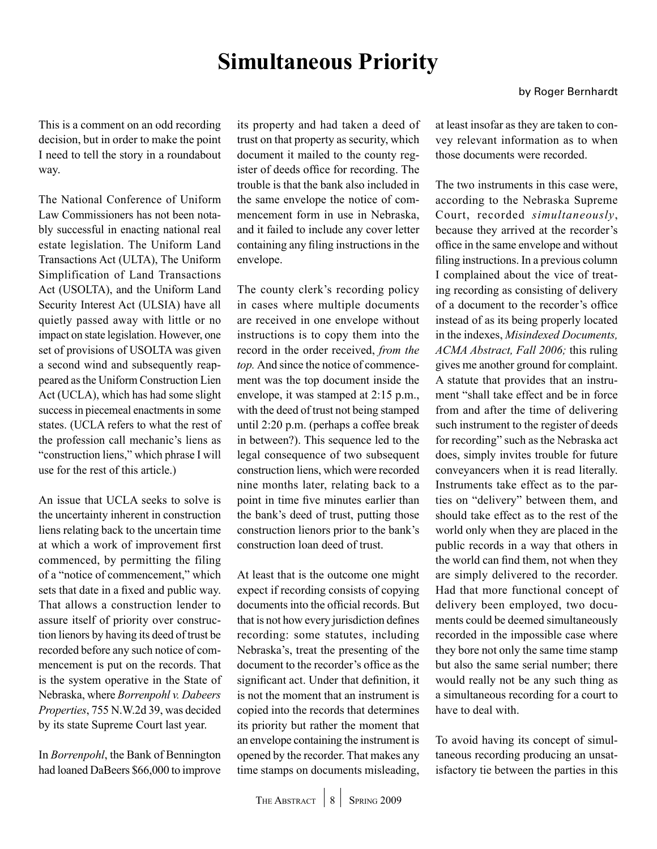# **Simultaneous Priority**

<span id="page-7-0"></span>This is a comment on an odd recording decision, but in order to make the point I need to tell the story in a roundabout way.

The National Conference of Uniform Law Commissioners has not been notably successful in enacting national real estate legislation. The Uniform Land Transactions Act (ULTA), The Uniform Simplification of Land Transactions Act (USOLTA), and the Uniform Land Security Interest Act (ULSIA) have all quietly passed away with little or no impact on state legislation. However, one set of provisions of USOLTA was given a second wind and subsequently reappeared as the Uniform Construction Lien Act (UCLA), which has had some slight success in piecemeal enactments in some states. (UCLA refers to what the rest of the profession call mechanic's liens as "construction liens," which phrase I will use for the rest of this article.)

An issue that UCLA seeks to solve is the uncertainty inherent in construction liens relating back to the uncertain time at which a work of improvement first commenced, by permitting the filing of a "notice of commencement," which sets that date in a fixed and public way. That allows a construction lender to assure itself of priority over construction lienors by having its deed of trust be recorded before any such notice of commencement is put on the records. That is the system operative in the State of Nebraska, where *Borrenpohl v. Dabeers Properties*, 755 N.W.2d 39, was decided by its state Supreme Court last year.

In *Borrenpohl*, the Bank of Bennington had loaned DaBeers \$66,000 to improve its property and had taken a deed of trust on that property as security, which document it mailed to the county register of deeds office for recording. The trouble is that the bank also included in the same envelope the notice of commencement form in use in Nebraska, and it failed to include any cover letter containing any filing instructions in the envelope.

The county clerk's recording policy in cases where multiple documents are received in one envelope without instructions is to copy them into the record in the order received, *from the top.* And since the notice of commencement was the top document inside the envelope, it was stamped at 2:15 p.m., with the deed of trust not being stamped until 2:20 p.m. (perhaps a coffee break in between?). This sequence led to the legal consequence of two subsequent construction liens, which were recorded nine months later, relating back to a point in time five minutes earlier than the bank's deed of trust, putting those construction lienors prior to the bank's construction loan deed of trust.

At least that is the outcome one might expect if recording consists of copying documents into the official records. But that is not how every jurisdiction defines recording: some statutes, including Nebraska's, treat the presenting of the document to the recorder's office as the significant act. Under that definition, it is not the moment that an instrument is copied into the records that determines its priority but rather the moment that an envelope containing the instrument is opened by the recorder. That makes any time stamps on documents misleading,

at least insofar as they are taken to convey relevant information as to when those documents were recorded.

The two instruments in this case were, according to the Nebraska Supreme Court, recorded *simultaneously*, because they arrived at the recorder's office in the same envelope and without filing instructions. In a previous column I complained about the vice of treating recording as consisting of delivery of a document to the recorder's office instead of as its being properly located in the indexes, *Misindexed Documents, ACMA Abstract, Fall 2006;* this ruling gives me another ground for complaint. A statute that provides that an instrument "shall take effect and be in force from and after the time of delivering such instrument to the register of deeds for recording" such as the Nebraska act does, simply invites trouble for future conveyancers when it is read literally. Instruments take effect as to the parties on "delivery" between them, and should take effect as to the rest of the world only when they are placed in the public records in a way that others in the world can find them, not when they are simply delivered to the recorder. Had that more functional concept of delivery been employed, two documents could be deemed simultaneously recorded in the impossible case where they bore not only the same time stamp but also the same serial number; there would really not be any such thing as a simultaneous recording for a court to have to deal with.

To avoid having its concept of simultaneous recording producing an unsatisfactory tie between the parties in this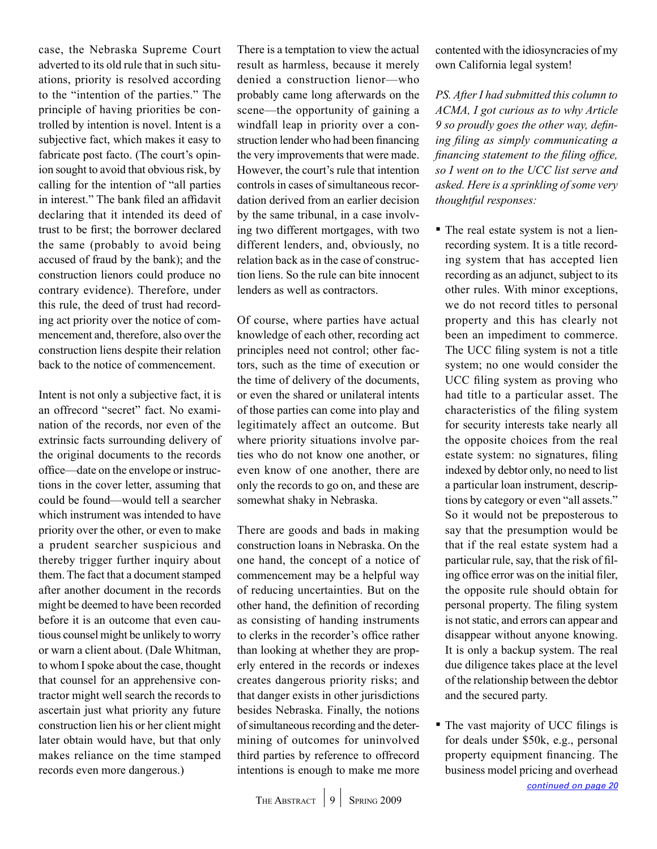<span id="page-8-0"></span>case, the Nebraska Supreme Court adverted to its old rule that in such situations, priority is resolved according to the "intention of the parties." The principle of having priorities be controlled by intention is novel. Intent is a subjective fact, which makes it easy to fabricate post facto. (The court's opinion sought to avoid that obvious risk, by calling for the intention of "all parties in interest." The bank filed an affidavit declaring that it intended its deed of trust to be first; the borrower declared the same (probably to avoid being accused of fraud by the bank); and the construction lienors could produce no contrary evidence). Therefore, under this rule, the deed of trust had recording act priority over the notice of commencement and, therefore, also over the construction liens despite their relation back to the notice of commencement.

Intent is not only a subjective fact, it is an offrecord "secret" fact. No examination of the records, nor even of the extrinsic facts surrounding delivery of the original documents to the records office—date on the envelope or instructions in the cover letter, assuming that could be found—would tell a searcher which instrument was intended to have priority over the other, or even to make a prudent searcher suspicious and thereby trigger further inquiry about them. The fact that a document stamped after another document in the records might be deemed to have been recorded before it is an outcome that even cautious counsel might be unlikely to worry or warn a client about. (Dale Whitman, to whom I spoke about the case, thought that counsel for an apprehensive contractor might well search the records to ascertain just what priority any future construction lien his or her client might later obtain would have, but that only makes reliance on the time stamped records even more dangerous.)

There is a temptation to view the actual result as harmless, because it merely denied a construction lienor—who probably came long afterwards on the scene—the opportunity of gaining a windfall leap in priority over a construction lender who had been financing the very improvements that were made. However, the court's rule that intention controls in cases of simultaneous recordation derived from an earlier decision by the same tribunal, in a case involving two different mortgages, with two different lenders, and, obviously, no relation back as in the case of construction liens. So the rule can bite innocent lenders as well as contractors.

Of course, where parties have actual knowledge of each other, recording act principles need not control; other factors, such as the time of execution or the time of delivery of the documents, or even the shared or unilateral intents of those parties can come into play and legitimately affect an outcome. But where priority situations involve parties who do not know one another, or even know of one another, there are only the records to go on, and these are somewhat shaky in Nebraska.

There are goods and bads in making construction loans in Nebraska. On the one hand, the concept of a notice of commencement may be a helpful way of reducing uncertainties. But on the other hand, the definition of recording as consisting of handing instruments to clerks in the recorder's office rather than looking at whether they are properly entered in the records or indexes creates dangerous priority risks; and that danger exists in other jurisdictions besides Nebraska. Finally, the notions of simultaneous recording and the determining of outcomes for uninvolved third parties by reference to offrecord intentions is enough to make me more

contented with the idiosyncracies of my own California legal system!

*PS. After I had submitted this column to ACMA, I got curious as to why Article 9 so proudly goes the other way, defining filing as simply communicating a financing statement to the filing office, so I went on to the UCC list serve and asked. Here is a sprinkling of some very thoughtful responses:*

- The real estate system is not a lienrecording system. It is a title recording system that has accepted lien recording as an adjunct, subject to its other rules. With minor exceptions, we do not record titles to personal property and this has clearly not been an impediment to commerce. The UCC filing system is not a title system; no one would consider the UCC filing system as proving who had title to a particular asset. The characteristics of the filing system for security interests take nearly all the opposite choices from the real estate system: no signatures, filing indexed by debtor only, no need to list a particular loan instrument, descriptions by category or even "all assets." So it would not be preposterous to say that the presumption would be that if the real estate system had a particular rule, say, that the risk of filing office error was on the initial filer, the opposite rule should obtain for personal property. The filing system is not static, and errors can appear and disappear without anyone knowing. It is only a backup system. The real due diligence takes place at the level of the relationship between the debtor and the secured party.
- The vast majority of UCC filings is for deals under \$50k, e.g., personal property equipment financing. The business model pricing and overhead *[continued on page 20](#page-19-0)*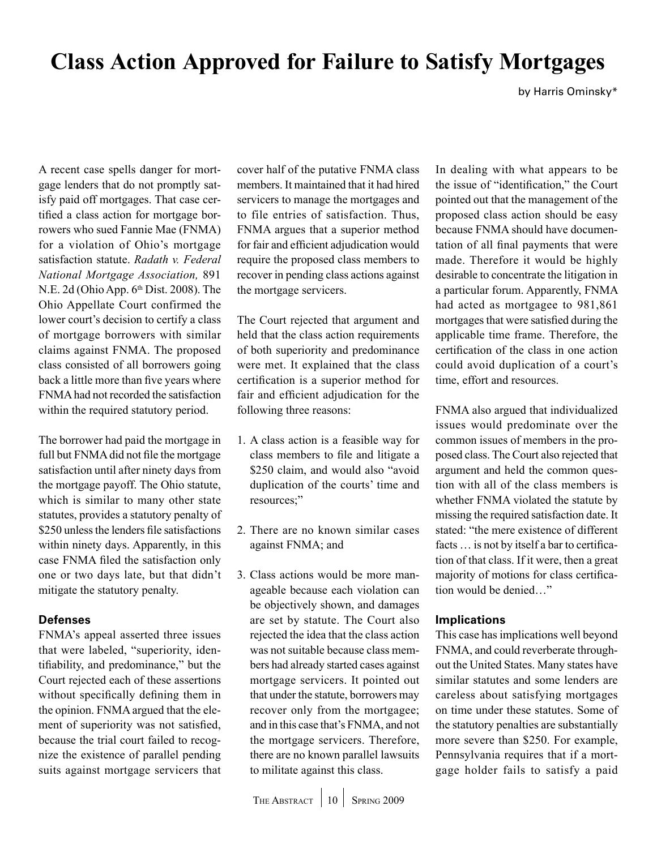# <span id="page-9-0"></span>**Class Action Approved for Failure to Satisfy Mortgages**

by Harris Ominsky\*

A recent case spells danger for mortgage lenders that do not promptly satisfy paid off mortgages. That case certified a class action for mortgage borrowers who sued Fannie Mae (FNMA) for a violation of Ohio's mortgage satisfaction statute. *Radath v. Federal National Mortgage Association,* 891 N.E. 2d (Ohio App.  $6<sup>th</sup>$  Dist. 2008). The Ohio Appellate Court confirmed the lower court's decision to certify a class of mortgage borrowers with similar claims against FNMA. The proposed class consisted of all borrowers going back a little more than five years where FNMA had not recorded the satisfaction within the required statutory period.

The borrower had paid the mortgage in full but FNMA did not file the mortgage satisfaction until after ninety days from the mortgage payoff. The Ohio statute, which is similar to many other state statutes, provides a statutory penalty of \$250 unless the lenders file satisfactions within ninety days. Apparently, in this case FNMA filed the satisfaction only one or two days late, but that didn't mitigate the statutory penalty.

### **Defenses**

FNMA's appeal asserted three issues that were labeled, "superiority, identifiability, and predominance," but the Court rejected each of these assertions without specifically defining them in the opinion. FNMA argued that the element of superiority was not satisfied, because the trial court failed to recognize the existence of parallel pending suits against mortgage servicers that cover half of the putative FNMA class members. It maintained that it had hired servicers to manage the mortgages and to file entries of satisfaction. Thus, FNMA argues that a superior method for fair and efficient adjudication would require the proposed class members to recover in pending class actions against the mortgage servicers.

The Court rejected that argument and held that the class action requirements of both superiority and predominance were met. It explained that the class certification is a superior method for fair and efficient adjudication for the following three reasons:

- 1. A class action is a feasible way for class members to file and litigate a \$250 claim, and would also "avoid duplication of the courts' time and resources;"
- 2. There are no known similar cases against FNMA; and
- 3. Class actions would be more manageable because each violation can be objectively shown, and damages are set by statute. The Court also rejected the idea that the class action was not suitable because class members had already started cases against mortgage servicers. It pointed out that under the statute, borrowers may recover only from the mortgagee; and in this case that's FNMA, and not the mortgage servicers. Therefore, there are no known parallel lawsuits to militate against this class.

In dealing with what appears to be the issue of "identification," the Court pointed out that the management of the proposed class action should be easy because FNMA should have documentation of all final payments that were made. Therefore it would be highly desirable to concentrate the litigation in a particular forum. Apparently, FNMA had acted as mortgagee to 981,861 mortgages that were satisfied during the applicable time frame. Therefore, the certification of the class in one action could avoid duplication of a court's time, effort and resources.

FNMA also argued that individualized issues would predominate over the common issues of members in the proposed class. The Court also rejected that argument and held the common question with all of the class members is whether FNMA violated the statute by missing the required satisfaction date. It stated: "the mere existence of different facts … is not by itself a bar to certification of that class. If it were, then a great majority of motions for class certification would be denied…"

## **Implications**

This case has implications well beyond FNMA, and could reverberate throughout the United States. Many states have similar statutes and some lenders are careless about satisfying mortgages on time under these statutes. Some of the statutory penalties are substantially more severe than \$250. For example, Pennsylvania requires that if a mortgage holder fails to satisfy a paid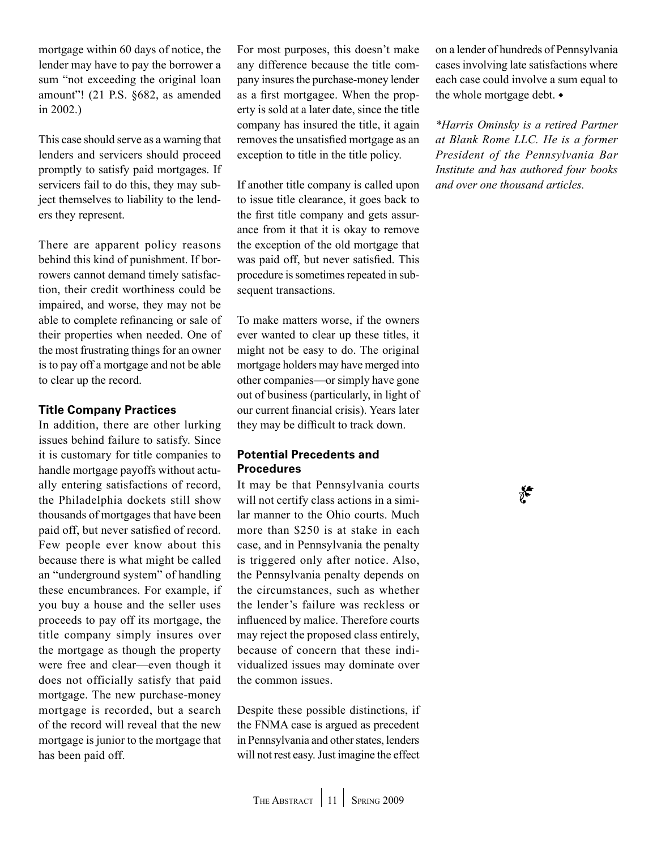mortgage within 60 days of notice, the lender may have to pay the borrower a sum "not exceeding the original loan amount"! (21 P.S. §682, as amended in 2002.)

This case should serve as a warning that lenders and servicers should proceed promptly to satisfy paid mortgages. If servicers fail to do this, they may subject themselves to liability to the lenders they represent.

There are apparent policy reasons behind this kind of punishment. If borrowers cannot demand timely satisfaction, their credit worthiness could be impaired, and worse, they may not be able to complete refinancing or sale of their properties when needed. One of the most frustrating things for an owner is to pay off a mortgage and not be able to clear up the record.

### **Title Company Practices**

In addition, there are other lurking issues behind failure to satisfy. Since it is customary for title companies to handle mortgage payoffs without actually entering satisfactions of record, the Philadelphia dockets still show thousands of mortgages that have been paid off, but never satisfied of record. Few people ever know about this because there is what might be called an "underground system" of handling these encumbrances. For example, if you buy a house and the seller uses proceeds to pay off its mortgage, the title company simply insures over the mortgage as though the property were free and clear—even though it does not officially satisfy that paid mortgage. The new purchase-money mortgage is recorded, but a search of the record will reveal that the new mortgage is junior to the mortgage that has been paid off.

For most purposes, this doesn't make any difference because the title company insures the purchase-money lender as a first mortgagee. When the property is sold at a later date, since the title company has insured the title, it again removes the unsatisfied mortgage as an exception to title in the title policy.

If another title company is called upon to issue title clearance, it goes back to the first title company and gets assurance from it that it is okay to remove the exception of the old mortgage that was paid off, but never satisfied. This procedure is sometimes repeated in subsequent transactions.

To make matters worse, if the owners ever wanted to clear up these titles, it might not be easy to do. The original mortgage holders may have merged into other companies—or simply have gone out of business (particularly, in light of our current financial crisis). Years later they may be difficult to track down.

### **Potential Precedents and Procedures**

It may be that Pennsylvania courts will not certify class actions in a similar manner to the Ohio courts. Much more than \$250 is at stake in each case, and in Pennsylvania the penalty is triggered only after notice. Also, the Pennsylvania penalty depends on the circumstances, such as whether the lender's failure was reckless or influenced by malice. Therefore courts may reject the proposed class entirely, because of concern that these individualized issues may dominate over the common issues.

Despite these possible distinctions, if the FNMA case is argued as precedent in Pennsylvania and other states, lenders will not rest easy. Just imagine the effect on a lender of hundreds of Pennsylvania cases involving late satisfactions where each case could involve a sum equal to the whole mortgage debt.  $\bullet$ 

*\*Harris Ominsky is a retired Partner at Blank Rome LLC. He is a former President of the Pennsylvania Bar Institute and has authored four books and over one thousand articles.* 

≸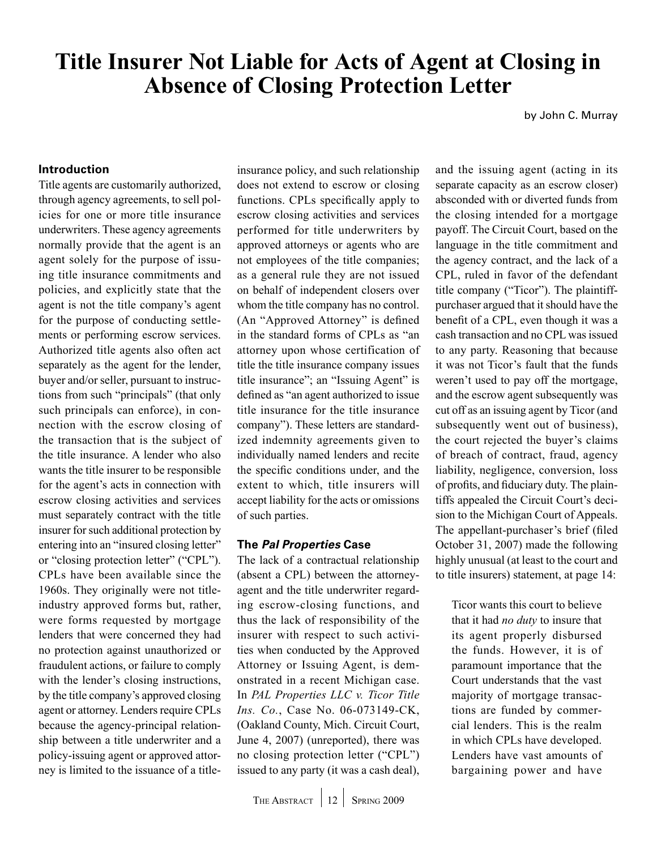# <span id="page-11-0"></span>**Title Insurer Not Liable for Acts of Agent at Closing in Absence of Closing Protection Letter**

by John C. Murray

### **Introduction**

Title agents are customarily authorized, through agency agreements, to sell policies for one or more title insurance underwriters. These agency agreements normally provide that the agent is an agent solely for the purpose of issuing title insurance commitments and policies, and explicitly state that the agent is not the title company's agent for the purpose of conducting settlements or performing escrow services. Authorized title agents also often act separately as the agent for the lender, buyer and/or seller, pursuant to instructions from such "principals" (that only such principals can enforce), in connection with the escrow closing of the transaction that is the subject of the title insurance. A lender who also wants the title insurer to be responsible for the agent's acts in connection with escrow closing activities and services must separately contract with the title insurer for such additional protection by entering into an "insured closing letter" or "closing protection letter" ("CPL"). CPLs have been available since the 1960s. They originally were not titleindustry approved forms but, rather, were forms requested by mortgage lenders that were concerned they had no protection against unauthorized or fraudulent actions, or failure to comply with the lender's closing instructions, by the title company's approved closing agent or attorney. Lenders require CPLs because the agency-principal relationship between a title underwriter and a policy-issuing agent or approved attorney is limited to the issuance of a title-

insurance policy, and such relationship does not extend to escrow or closing functions. CPLs specifically apply to escrow closing activities and services performed for title underwriters by approved attorneys or agents who are not employees of the title companies; as a general rule they are not issued on behalf of independent closers over whom the title company has no control. (An "Approved Attorney" is defined in the standard forms of CPLs as "an attorney upon whose certification of title the title insurance company issues title insurance"; an "Issuing Agent" is defined as "an agent authorized to issue title insurance for the title insurance company"). These letters are standardized indemnity agreements given to individually named lenders and recite the specific conditions under, and the extent to which, title insurers will accept liability for the acts or omissions of such parties.

### **The** *Pal Properties* **Case**

The lack of a contractual relationship (absent a CPL) between the attorneyagent and the title underwriter regarding escrow-closing functions, and thus the lack of responsibility of the insurer with respect to such activities when conducted by the Approved Attorney or Issuing Agent, is demonstrated in a recent Michigan case. In *PAL Properties LLC v. Ticor Title Ins. Co.*, Case No. 06-073149-CK, (Oakland County, Mich. Circuit Court, June 4, 2007) (unreported), there was no closing protection letter ("CPL") issued to any party (it was a cash deal),

and the issuing agent (acting in its separate capacity as an escrow closer) absconded with or diverted funds from the closing intended for a mortgage payoff. The Circuit Court, based on the language in the title commitment and the agency contract, and the lack of a CPL, ruled in favor of the defendant title company ("Ticor"). The plaintiffpurchaser argued that it should have the benefit of a CPL, even though it was a cash transaction and no CPL was issued to any party. Reasoning that because it was not Ticor's fault that the funds weren't used to pay off the mortgage, and the escrow agent subsequently was cut off as an issuing agent by Ticor (and subsequently went out of business), the court rejected the buyer's claims of breach of contract, fraud, agency liability, negligence, conversion, loss of profits, and fiduciary duty. The plaintiffs appealed the Circuit Court's decision to the Michigan Court of Appeals. The appellant-purchaser's brief (filed October 31, 2007) made the following highly unusual (at least to the court and to title insurers) statement, at page 14:

Ticor wants this court to believe that it had *no duty* to insure that its agent properly disbursed the funds. However, it is of paramount importance that the Court understands that the vast majority of mortgage transactions are funded by commercial lenders. This is the realm in which CPLs have developed. Lenders have vast amounts of bargaining power and have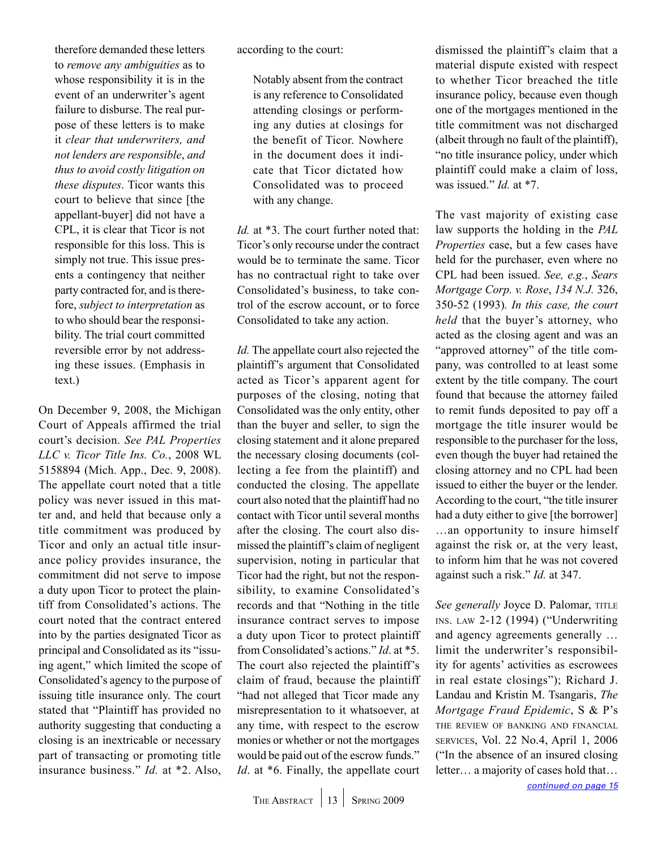<span id="page-12-0"></span>therefore demanded these letters to *remove any ambiguities* as to whose responsibility it is in the event of an underwriter's agent failure to disburse. The real purpose of these letters is to make it *clear that underwriters, and not lenders are responsible*, *and thus to avoid costly litigation on these disputes*. Ticor wants this court to believe that since [the appellant-buyer] did not have a CPL, it is clear that Ticor is not responsible for this loss. This is simply not true. This issue presents a contingency that neither party contracted for, and is therefore, *subject to interpretation* as to who should bear the responsibility. The trial court committed reversible error by not addressing these issues. (Emphasis in text.)

On December 9, 2008, the Michigan Court of Appeals affirmed the trial court's decision. *See PAL Properties LLC v. Ticor Title Ins. Co.*, 2008 WL 5158894 (Mich. App., Dec. 9, 2008). The appellate court noted that a title policy was never issued in this matter and, and held that because only a title commitment was produced by Ticor and only an actual title insurance policy provides insurance, the commitment did not serve to impose a duty upon Ticor to protect the plaintiff from Consolidated's actions. The court noted that the contract entered into by the parties designated Ticor as principal and Consolidated as its "issuing agent," which limited the scope of Consolidated's agency to the purpose of issuing title insurance only. The court stated that "Plaintiff has provided no authority suggesting that conducting a closing is an inextricable or necessary part of transacting or promoting title insurance business." *Id.* at \*2. Also,

according to the court:

Notably absent from the contract is any reference to Consolidated attending closings or performing any duties at closings for the benefit of Ticor. Nowhere in the document does it indicate that Ticor dictated how Consolidated was to proceed with any change.

*Id.* at \*3. The court further noted that: Ticor's only recourse under the contract would be to terminate the same. Ticor has no contractual right to take over Consolidated's business, to take control of the escrow account, or to force Consolidated to take any action.

*Id.* The appellate court also rejected the plaintiff's argument that Consolidated acted as Ticor's apparent agent for purposes of the closing, noting that Consolidated was the only entity, other than the buyer and seller, to sign the closing statement and it alone prepared the necessary closing documents (collecting a fee from the plaintiff) and conducted the closing. The appellate court also noted that the plaintiff had no contact with Ticor until several months after the closing. The court also dismissed the plaintiff's claim of negligent supervision, noting in particular that Ticor had the right, but not the responsibility, to examine Consolidated's records and that "Nothing in the title insurance contract serves to impose a duty upon Ticor to protect plaintiff from Consolidated's actions." *Id*. at \*5. The court also rejected the plaintiff's claim of fraud, because the plaintiff "had not alleged that Ticor made any misrepresentation to it whatsoever, at any time, with respect to the escrow monies or whether or not the mortgages would be paid out of the escrow funds." *Id.* at \*6. Finally, the appellate court

dismissed the plaintiff's claim that a material dispute existed with respect to whether Ticor breached the title insurance policy, because even though one of the mortgages mentioned in the title commitment was not discharged (albeit through no fault of the plaintiff), "no title insurance policy, under which plaintiff could make a claim of loss, was issued." *Id.* at \*7.

The vast majority of existing case law supports the holding in the *PAL Properties* case, but a few cases have held for the purchaser, even where no CPL had been issued. *See, e.g.*, *Sears Mortgage Corp. v. Rose*, *134 N.J.* 326, 350-52 (1993)*. In this case, the court held* that the buyer's attorney, who acted as the closing agent and was an "approved attorney" of the title company, was controlled to at least some extent by the title company. The court found that because the attorney failed to remit funds deposited to pay off a mortgage the title insurer would be responsible to the purchaser for the loss, even though the buyer had retained the closing attorney and no CPL had been issued to either the buyer or the lender. According to the court, "the title insurer had a duty either to give [the borrower] …an opportunity to insure himself against the risk or, at the very least, to inform him that he was not covered against such a risk." *Id.* at 347.

See generally Joyce D. Palomar, TITLE ins. law 2-12 (1994) ("Underwriting and agency agreements generally … limit the underwriter's responsibility for agents' activities as escrowees in real estate closings"); Richard J. Landau and Kristin M. Tsangaris, *The Mortgage Fraud Epidemic*, S & P's the review of banking and financial services, Vol. 22 No.4, April 1, 2006 ("In the absence of an insured closing letter… a majority of cases hold that…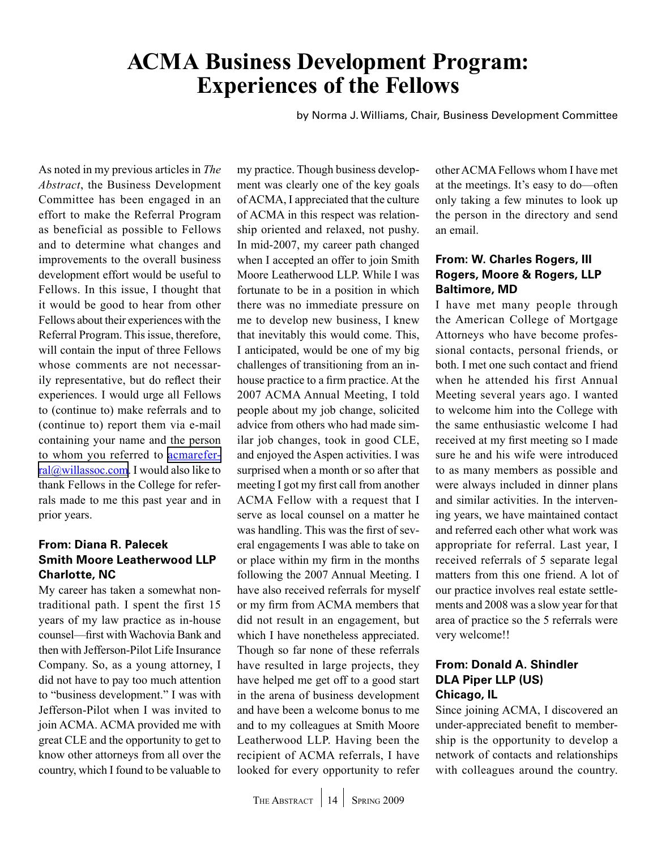# <span id="page-13-0"></span>**ACMA Business Development Program: Experiences of the Fellows**

by Norma J. Williams, Chair, Business Development Committee

As noted in my previous articles in *The Abstract*, the Business Development Committee has been engaged in an effort to make the Referral Program as beneficial as possible to Fellows and to determine what changes and improvements to the overall business development effort would be useful to Fellows. In this issue, I thought that it would be good to hear from other Fellows about their experiences with the Referral Program. This issue, therefore, will contain the input of three Fellows whose comments are not necessarily representative, but do reflect their experiences. I would urge all Fellows to (continue to) make referrals and to (continue to) report them via e-mail containing your name and the person to whom you referred to [acmarefer](mailto:acmareferral@willassoc.com)[ral@willassoc.com](mailto:acmareferral@willassoc.com). I would also like to thank Fellows in the College for referrals made to me this past year and in prior years.

### **From: Diana R. Palecek Smith Moore Leatherwood LLP Charlotte, NC**

My career has taken a somewhat nontraditional path. I spent the first 15 years of my law practice as in-house counsel—first with Wachovia Bank and then with Jefferson-Pilot Life Insurance Company. So, as a young attorney, I did not have to pay too much attention to "business development." I was with Jefferson-Pilot when I was invited to join ACMA. ACMA provided me with great CLE and the opportunity to get to know other attorneys from all over the country, which I found to be valuable to my practice. Though business development was clearly one of the key goals of ACMA, I appreciated that the culture of ACMA in this respect was relationship oriented and relaxed, not pushy. In mid-2007, my career path changed when I accepted an offer to join Smith Moore Leatherwood LLP. While I was fortunate to be in a position in which there was no immediate pressure on me to develop new business, I knew that inevitably this would come. This, I anticipated, would be one of my big challenges of transitioning from an inhouse practice to a firm practice. At the 2007 ACMA Annual Meeting, I told people about my job change, solicited advice from others who had made similar job changes, took in good CLE, and enjoyed the Aspen activities. I was surprised when a month or so after that meeting I got my first call from another ACMA Fellow with a request that I serve as local counsel on a matter he was handling. This was the first of several engagements I was able to take on or place within my firm in the months following the 2007 Annual Meeting. I have also received referrals for myself or my firm from ACMA members that did not result in an engagement, but which I have nonetheless appreciated. Though so far none of these referrals have resulted in large projects, they have helped me get off to a good start in the arena of business development and have been a welcome bonus to me and to my colleagues at Smith Moore Leatherwood LLP. Having been the recipient of ACMA referrals, I have looked for every opportunity to refer

other ACMA Fellows whom I have met at the meetings. It's easy to do—often only taking a few minutes to look up the person in the directory and send an email.

### **From: W. Charles Rogers, III Rogers, Moore & Rogers, LLP Baltimore, MD**

I have met many people through the American College of Mortgage Attorneys who have become professional contacts, personal friends, or both. I met one such contact and friend when he attended his first Annual Meeting several years ago. I wanted to welcome him into the College with the same enthusiastic welcome I had received at my first meeting so I made sure he and his wife were introduced to as many members as possible and were always included in dinner plans and similar activities. In the intervening years, we have maintained contact and referred each other what work was appropriate for referral. Last year, I received referrals of 5 separate legal matters from this one friend. A lot of our practice involves real estate settlements and 2008 was a slow year for that area of practice so the 5 referrals were very welcome!!

### **From: Donald A. Shindler DLA Piper LLP (US) Chicago, IL**

Since joining ACMA, I discovered an under-appreciated benefit to membership is the opportunity to develop a network of contacts and relationships with colleagues around the country.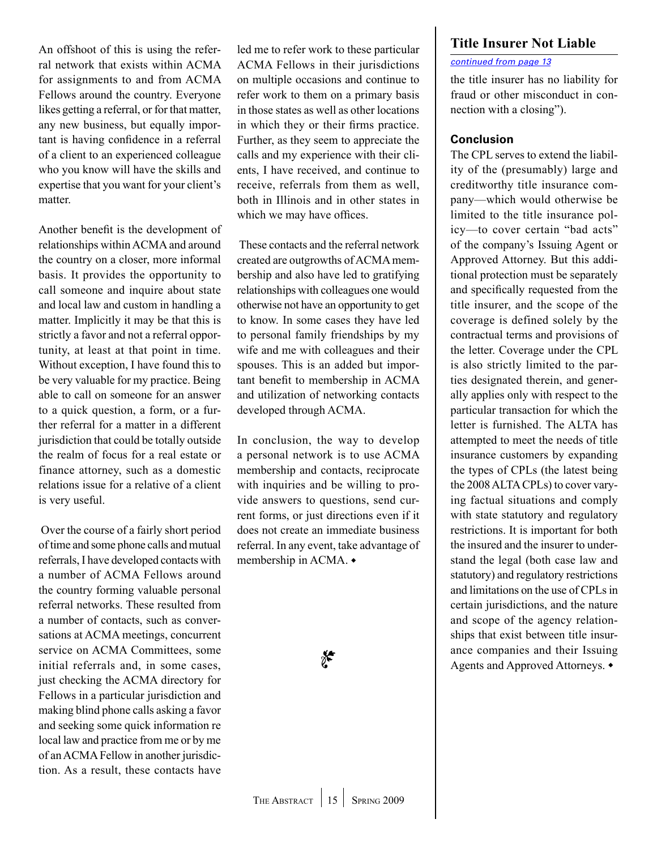<span id="page-14-0"></span>An offshoot of this is using the referral network that exists within ACMA for assignments to and from ACMA Fellows around the country. Everyone likes getting a referral, or for that matter, any new business, but equally important is having confidence in a referral of a client to an experienced colleague who you know will have the skills and expertise that you want for your client's matter.

Another benefit is the development of relationships within ACMA and around the country on a closer, more informal basis. It provides the opportunity to call someone and inquire about state and local law and custom in handling a matter. Implicitly it may be that this is strictly a favor and not a referral opportunity, at least at that point in time. Without exception, I have found this to be very valuable for my practice. Being able to call on someone for an answer to a quick question, a form, or a further referral for a matter in a different jurisdiction that could be totally outside the realm of focus for a real estate or finance attorney, such as a domestic relations issue for a relative of a client is very useful.

 Over the course of a fairly short period of time and some phone calls and mutual referrals, I have developed contacts with a number of ACMA Fellows around the country forming valuable personal referral networks. These resulted from a number of contacts, such as conversations at ACMA meetings, concurrent service on ACMA Committees, some initial referrals and, in some cases, just checking the ACMA directory for Fellows in a particular jurisdiction and making blind phone calls asking a favor and seeking some quick information re local law and practice from me or by me of an ACMA Fellow in another jurisdiction. As a result, these contacts have

led me to refer work to these particular ACMA Fellows in their jurisdictions on multiple occasions and continue to refer work to them on a primary basis in those states as well as other locations in which they or their firms practice. Further, as they seem to appreciate the calls and my experience with their clients, I have received, and continue to receive, referrals from them as well, both in Illinois and in other states in which we may have offices.

 These contacts and the referral network created are outgrowths of ACMA membership and also have led to gratifying relationships with colleagues one would otherwise not have an opportunity to get to know. In some cases they have led to personal family friendships by my wife and me with colleagues and their spouses. This is an added but important benefit to membership in ACMA and utilization of networking contacts developed through ACMA.

In conclusion, the way to develop a personal network is to use ACMA membership and contacts, reciprocate with inquiries and be willing to provide answers to questions, send current forms, or just directions even if it does not create an immediate business referral. In any event, take advantage of membership in ACMA. $\bullet$ 

### **Title Insurer Not Liable**

### *[continued from page 13](#page-12-0)*

the title insurer has no liability for fraud or other misconduct in connection with a closing").

### **Conclusion**

The CPL serves to extend the liability of the (presumably) large and creditworthy title insurance company—which would otherwise be limited to the title insurance policy—to cover certain "bad acts" of the company's Issuing Agent or Approved Attorney. But this additional protection must be separately and specifically requested from the title insurer, and the scope of the coverage is defined solely by the contractual terms and provisions of the letter. Coverage under the CPL is also strictly limited to the parties designated therein, and generally applies only with respect to the particular transaction for which the letter is furnished. The ALTA has attempted to meet the needs of title insurance customers by expanding the types of CPLs (the latest being the 2008 ALTA CPLs) to cover varying factual situations and comply with state statutory and regulatory restrictions. It is important for both the insured and the insurer to understand the legal (both case law and statutory) and regulatory restrictions and limitations on the use of CPLs in certain jurisdictions, and the nature and scope of the agency relationships that exist between title insurance companies and their Issuing Agents and Approved Attorneys.  $\bullet$ 

e**r**<br>1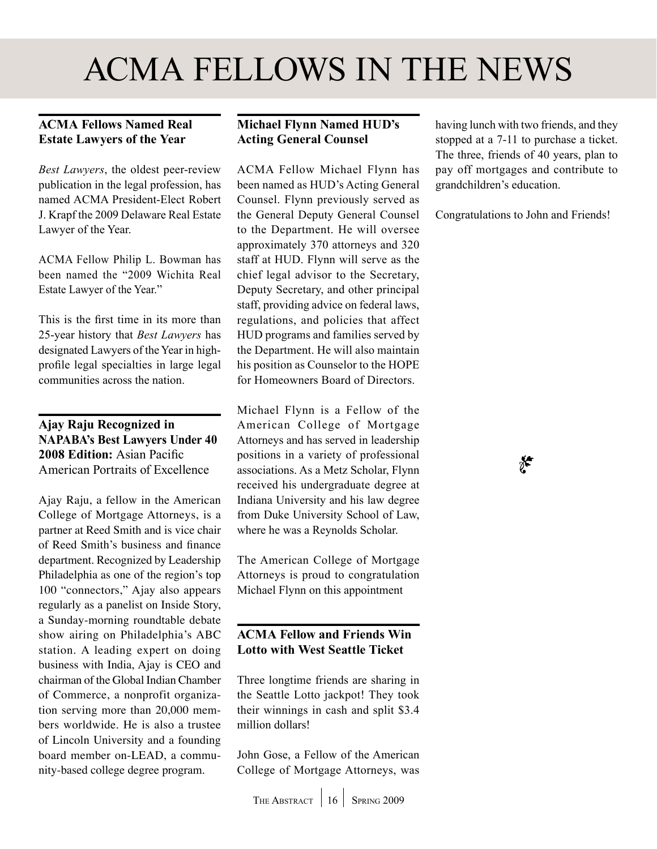# <span id="page-15-0"></span>ACMA Fellows in the News

## **ACMA Fellows Named Real Estate Lawyers of the Year**

*Best Lawyers*, the oldest peer-review publication in the legal profession, has named ACMA President-Elect Robert J. Krapf the 2009 Delaware Real Estate Lawyer of the Year.

ACMA Fellow Philip L. Bowman has been named the "2009 Wichita Real Estate Lawyer of the Year."

This is the first time in its more than 25-year history that *Best Lawyers* has designated Lawyers of the Year in highprofile legal specialties in large legal communities across the nation.

### **Ajay Raju Recognized in NAPABA's Best Lawyers Under 40 2008 Edition:** Asian Pacific American Portraits of Excellence

Ajay Raju, a fellow in the American College of Mortgage Attorneys, is a partner at Reed Smith and is vice chair of Reed Smith's business and finance department. Recognized by Leadership Philadelphia as one of the region's top 100 "connectors," Ajay also appears regularly as a panelist on Inside Story, a Sunday-morning roundtable debate show airing on Philadelphia's ABC station. A leading expert on doing business with India, Ajay is CEO and chairman of the Global Indian Chamber of Commerce, a nonprofit organization serving more than 20,000 members worldwide. He is also a trustee of Lincoln University and a founding board member on-LEAD, a community-based college degree program.

## **Michael Flynn Named HUD's Acting General Counsel**

ACMA Fellow Michael Flynn has been named as HUD's Acting General Counsel. Flynn previously served as the General Deputy General Counsel to the Department. He will oversee approximately 370 attorneys and 320 staff at HUD. Flynn will serve as the chief legal advisor to the Secretary, Deputy Secretary, and other principal staff, providing advice on federal laws, regulations, and policies that affect HUD programs and families served by the Department. He will also maintain his position as Counselor to the HOPE for Homeowners Board of Directors.

Michael Flynn is a Fellow of the American College of Mortgage Attorneys and has served in leadership positions in a variety of professional associations. As a Metz Scholar, Flynn received his undergraduate degree at Indiana University and his law degree from Duke University School of Law, where he was a Reynolds Scholar.

The American College of Mortgage Attorneys is proud to congratulation Michael Flynn on this appointment

### **Acma Fellow and Friends Win Lotto with West Seattle Ticket**

Three longtime friends are sharing in the Seattle Lotto jackpot! They took their winnings in cash and split \$3.4 million dollars!

John Gose, a Fellow of the American College of Mortgage Attorneys, was

having lunch with two friends, and they stopped at a 7-11 to purchase a ticket. The three, friends of 40 years, plan to pay off mortgages and contribute to grandchildren's education.

Congratulations to John and Friends!

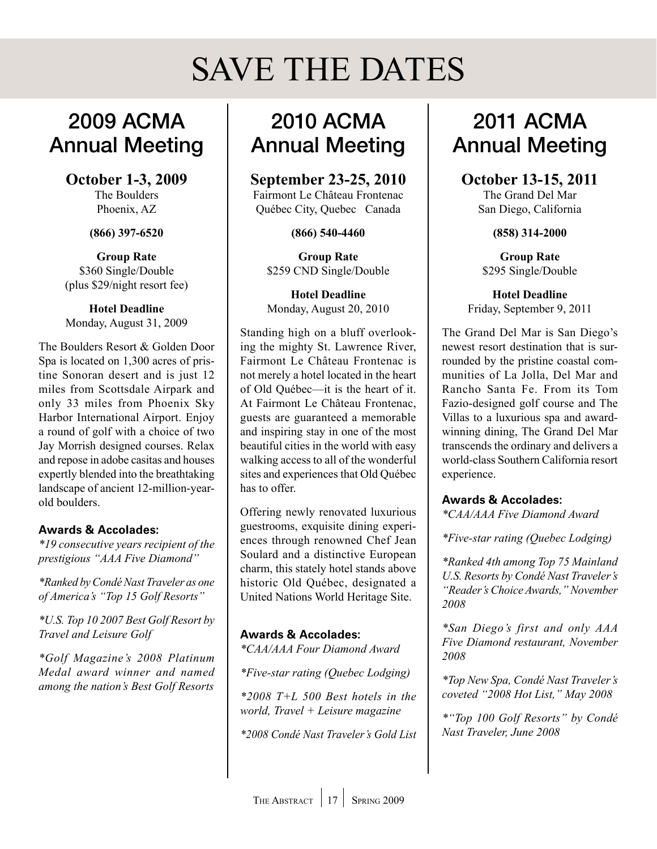# SAVE THE DATES

# <span id="page-16-0"></span>2009 ACMA Annual Meeting

**October 1-3, 2009** The Boulders

Phoenix, AZ

**(866) 397-6520**

**Group Rate** \$360 Single/Double (plus \$29/night resort fee)

**Hotel Deadline** Monday, August 31, 2009

The Boulders Resort & Golden Door Spa is located on 1,300 acres of pristine Sonoran desert and is just 12 miles from Scottsdale Airpark and only 33 miles from Phoenix Sky Harbor International Airport. Enjoy a round of golf with a choice of two Jay Morrish designed courses. Relax and repose in adobe casitas and houses expertly blended into the breathtaking landscape of ancient 12-million-yearold boulders.

### **Awards & Accolades:**

*\*19 consecutive years recipient of the prestigious "AAA Five Diamond"*

*\*Ranked by Condé Nast Traveler as one of America's "Top 15 Golf Resorts"*

*\*U.S. Top 10 2007 Best Golf Resort by Travel and Leisure Golf*

*\*Golf Magazine's 2008 Platinum Medal award winner and named among the nation's Best Golf Resorts*

# 2010 ACMA Annual Meeting

**September 23-25, 2010**

Fairmont Le Château Frontenac Québec City, Quebec Canada

**(866) 540-4460**

**Group Rate** \$259 CND Single/Double

**Hotel Deadline** Monday, August 20, 2010

Standing high on a bluff overlooking the mighty St. Lawrence River, Fairmont Le Château Frontenac is not merely a hotel located in the heart of Old Québec—it is the heart of it. At Fairmont Le Château Frontenac, guests are guaranteed a memorable and inspiring stay in one of the most beautiful cities in the world with easy walking access to all of the wonderful sites and experiences that Old Québec has to offer.

Offering newly renovated luxurious guestrooms, exquisite dining experiences through renowned Chef Jean Soulard and a distinctive European charm, this stately hotel stands above historic Old Québec, designated a United Nations World Heritage Site.

# **Awards & Accolades:**

*\*CAA/AAA Four Diamond Award*

*\*Five-star rating (Quebec Lodging)*

*\*2008 T+L 500 Best hotels in the world, Travel + Leisure magazine*

*\*2008 Condé Nast Traveler's Gold List*

# 2011 ACMA Annual Meeting

### **October 13-15, 2011**

The Grand Del Mar San Diego, California

**(858) 314-2000**

**Group Rate** \$295 Single/Double

**Hotel Deadline** Friday, September 9, 2011

The Grand Del Mar is San Diego's newest resort destination that is surrounded by the pristine coastal communities of La Jolla, Del Mar and Rancho Santa Fe. From its Tom Fazio-designed golf course and The Villas to a luxurious spa and awardwinning dining, The Grand Del Mar transcends the ordinary and delivers a world-class Southern California resort experience.

**Awards & Accolades:**

*\*CAA/AAA Five Diamond Award*

*\*Five-star rating (Quebec Lodging)*

*\*Ranked 4th among Top 75 Mainland U.S. Resorts by Condé Nast Traveler's "Reader's Choice Awards," November 2008*

*\*San Diego's first and only AAA Five Diamond restaurant, November 2008*

*\*Top New Spa, Condé Nast Traveler's coveted "2008 Hot List," May 2008*

*\*"Top 100 Golf Resorts" by Condé Nast Traveler, June 2008*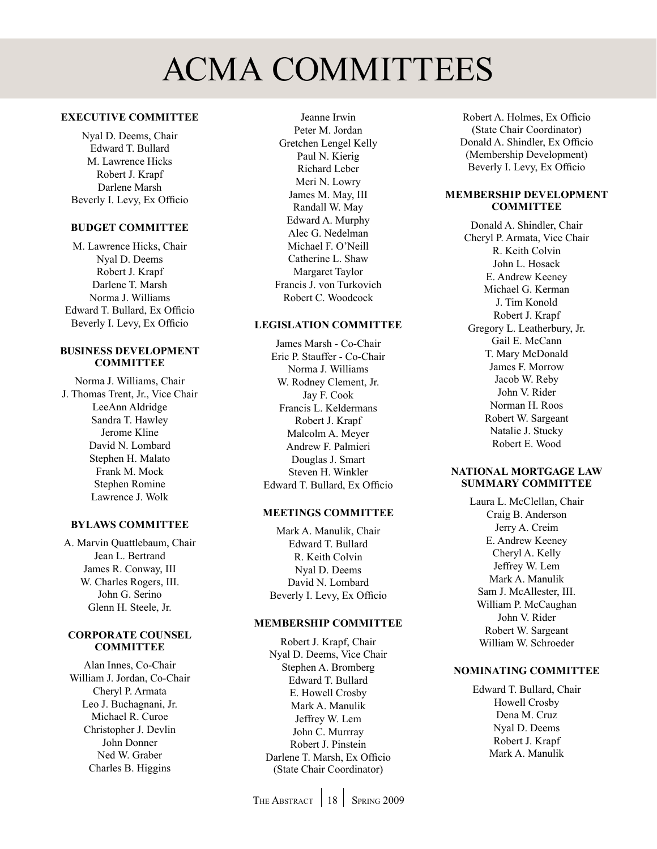# ACMA COMMITTEES

### <span id="page-17-0"></span>**Executive Committee**

Nyal D. Deems, Chair Edward T. Bullard M. Lawrence Hicks Robert J. Krapf Darlene Marsh Beverly I. Levy, Ex Officio

#### **Budget Committee**

M. Lawrence Hicks, Chair Nyal D. Deems Robert J. Krapf Darlene T. Marsh Norma J. Williams Edward T. Bullard, Ex Officio Beverly I. Levy, Ex Officio

#### **Business Development Committee**

Norma J. Williams, Chair J. Thomas Trent, Jr., Vice Chair LeeAnn Aldridge Sandra T. Hawley Jerome Kline David N. Lombard Stephen H. Malato Frank M. Mock Stephen Romine Lawrence J. Wolk

### **Bylaws Committee**

A. Marvin Quattlebaum, Chair Jean L. Bertrand James R. Conway, III W. Charles Rogers, III. John G. Serino Glenn H. Steele, Jr.

#### **Corporate Counsel Committee**

Alan Innes, Co-Chair William J. Jordan, Co-Chair Cheryl P. Armata Leo J. Buchagnani, Jr. Michael R. Curoe Christopher J. Devlin John Donner Ned W. Graber Charles B. Higgins

Jeanne Irwin Peter M. Jordan Gretchen Lengel Kelly Paul N. Kierig Richard Leber Meri N. Lowry James M. May, III Randall W. May Edward A. Murphy Alec G. Nedelman Michael F. O'Neill Catherine L. Shaw Margaret Taylor Francis J. von Turkovich Robert C. Woodcock

### **Legislation Committee**

James Marsh - Co-Chair Eric P. Stauffer - Co-Chair Norma J. Williams W. Rodney Clement, Jr. Jay F. Cook Francis L. Keldermans Robert J. Krapf Malcolm A. Meyer Andrew F. Palmieri Douglas J. Smart Steven H. Winkler Edward T. Bullard, Ex Officio

### **Meetings Committee**

Mark A. Manulik, Chair Edward T. Bullard R. Keith Colvin Nyal D. Deems David N. Lombard Beverly I. Levy, Ex Officio

#### **Membership Committee**

Robert J. Krapf, Chair Nyal D. Deems, Vice Chair Stephen A. Bromberg Edward T. Bullard E. Howell Crosby Mark A. Manulik Jeffrey W. Lem John C. Murrray Robert J. Pinstein Darlene T. Marsh, Ex Officio (State Chair Coordinator)

Robert A. Holmes, Ex Officio (State Chair Coordinator) Donald A. Shindler, Ex Officio (Membership Development) Beverly I. Levy, Ex Officio

### **Membership Development COMMITTEE**

Donald A. Shindler, Chair Cheryl P. Armata, Vice Chair R. Keith Colvin John L. Hosack E. Andrew Keeney Michael G. Kerman J. Tim Konold Robert J. Krapf Gregory L. Leatherbury, Jr. Gail E. McCann T. Mary McDonald James F. Morrow Jacob W. Reby John V. Rider Norman H. Roos Robert W. Sargeant Natalie J. Stucky Robert E. Wood

### **National Mortgage Law Summary Committee**

Laura L. McClellan, Chair Craig B. Anderson Jerry A. Creim E. Andrew Keeney Cheryl A. Kelly Jeffrey W. Lem Mark A. Manulik Sam J. McAllester, III. William P. McCaughan John V. Rider Robert W. Sargeant William W. Schroeder

#### **Nominating Committee**

Edward T. Bullard, Chair Howell Crosby Dena M. Cruz Nyal D. Deems Robert J. Krapf Mark A. Manulik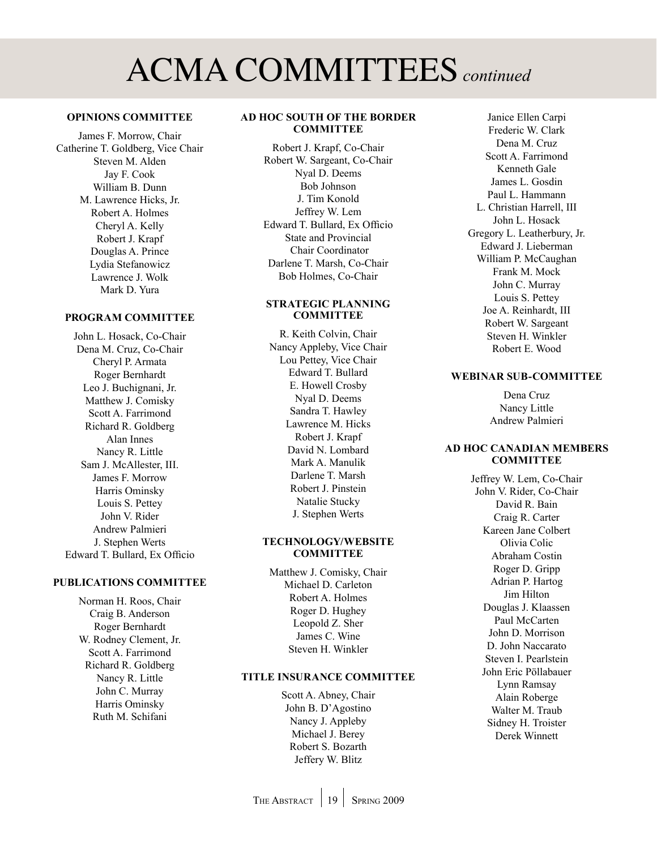# ACMA COMMITTEES *continued*

#### **Opinions Committee**

James F. Morrow, Chair Catherine T. Goldberg, Vice Chair Steven M. Alden Jay F. Cook William B. Dunn M. Lawrence Hicks, Jr. Robert A. Holmes Cheryl A. Kelly Robert J. Krapf Douglas A. Prince Lydia Stefanowicz Lawrence J. Wolk Mark D. Yura

### **Program Committee**

John L. Hosack, Co-Chair Dena M. Cruz, Co-Chair Cheryl P. Armata Roger Bernhardt Leo J. Buchignani, Jr. Matthew J. Comisky Scott A. Farrimond Richard R. Goldberg Alan Innes Nancy R. Little Sam J. McAllester, III. James F. Morrow Harris Ominsky Louis S. Pettey John V. Rider Andrew Palmieri J. Stephen Werts Edward T. Bullard, Ex Officio

#### **Publications Committee**

Norman H. Roos, Chair Craig B. Anderson Roger Bernhardt W. Rodney Clement, Jr. Scott A. Farrimond Richard R. Goldberg Nancy R. Little John C. Murray Harris Ominsky Ruth M. Schifani

### **Ad Hoc South of the Border COMMITTEE**

Robert J. Krapf, Co-Chair Robert W. Sargeant, Co-Chair Nyal D. Deems Bob Johnson J. Tim Konold Jeffrey W. Lem Edward T. Bullard, Ex Officio State and Provincial Chair Coordinator Darlene T. Marsh, Co-Chair Bob Holmes, Co-Chair

#### **Strategic Planning COMMITTEE**

R. Keith Colvin, Chair Nancy Appleby, Vice Chair Lou Pettey, Vice Chair Edward T. Bullard E. Howell Crosby Nyal D. Deems Sandra T. Hawley Lawrence M. Hicks Robert J. Krapf David N. Lombard Mark A. Manulik Darlene T. Marsh Robert J. Pinstein Natalie Stucky J. Stephen Werts

#### **Technology/Website Committee**

Matthew J. Comisky, Chair Michael D. Carleton Robert A. Holmes Roger D. Hughey Leopold Z. Sher James C. Wine Steven H. Winkler

#### **Title Insurance Committee**

Scott A. Abney, Chair John B. D'Agostino Nancy J. Appleby Michael J. Berey Robert S. Bozarth Jeffery W. Blitz

Janice Ellen Carpi Frederic W. Clark Dena M. Cruz Scott A. Farrimond Kenneth Gale James L. Gosdin Paul L. Hammann L. Christian Harrell, III John L. Hosack Gregory L. Leatherbury, Jr. Edward J. Lieberman William P. McCaughan Frank M. Mock John C. Murray Louis S. Pettey Joe A. Reinhardt, III Robert W. Sargeant Steven H. Winkler Robert E. Wood

### **Webinar Sub-Committee**

Dena Cruz Nancy Little Andrew Palmieri

#### **Ad Hoc Canadian Members Committee**

Jeffrey W. Lem, Co-Chair John V. Rider, Co-Chair David R. Bain Craig R. Carter Kareen Jane Colbert Olivia Colic Abraham Costin Roger D. Gripp Adrian P. Hartog Jim Hilton Douglas J. Klaassen Paul McCarten John D. Morrison D. John Naccarato Steven I. Pearlstein John Eric Pöllabauer Lynn Ramsay Alain Roberge Walter M. Traub Sidney H. Troister Derek Winnett